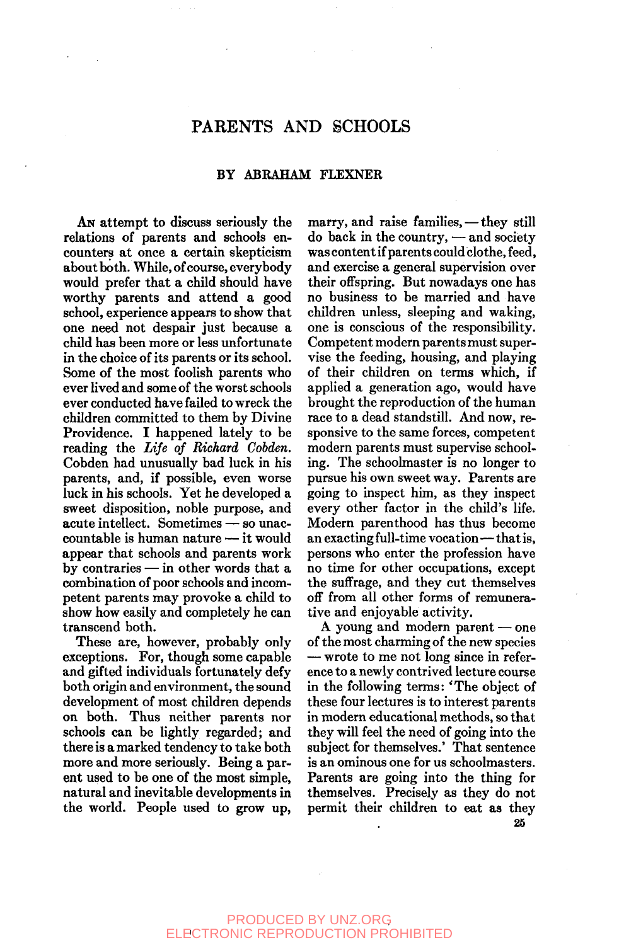# PARENTS AND SCHOOLS

### BY ABRAHAM FLEXNER

AN attempt to discuss seriously the relations of parents and schools encounters at once a certain skepticism about both. While, of course, everybody would prefer that a child should have worthy parents and attend a good school, experience appears to show that one need not despair just because a child has been more or less unfortunate in the choice of its parents or its school. Some of the most foolish parents who ever lived and some of the worst schools ever conducted have failed to wreck the children committed to them by Divine Providence. I happened lately to be reading the *Life of Richard Cobden.*  Cobden had unusually bad luck in his parents, and, if possible, even worse luck in his schools. Yet he developed a sweet disposition, noble purpose, and acute intellect. Sometimes — so unaccountable is human nature — it would appear that schools and parents work by contraries — in other words that a combination of poor schools and incompetent parents may provoke a child to show how easily and completely he can transcend both.

These are, however, probably only exceptions. For, though some capable and gifted individuals fortunately defy both origin and environment, the sound development of most children depends on both. Thus neither parents nor schools can be lightly regarded; and there is a marked tendency to take both more and more seriously. Being a parent used to be one of the most simple, natural and inevitable developments in the world. People used to grow up,

marry, and raise families,—they still do back in the country, — and society was content if parents could clothe, feed, and exercise a general supervision over their offspring. But nowadays one has no business to be married and have children unless, sleeping and waking, one is conscious of the responsibility. Competent modern parents must supervise the feeding, housing, and playing of their children on terms which, if applied a generation ago, would have brought the reproduction of the human race to a dead standstill. And now, responsive to the same forces, competent modern parents must supervise schooling. The schoolmaster is no longer to pursue his own sweet way. Parents are going to inspect him, as they inspect every other factor in the child's life. Modern parenthood has thus become an exacting full-time vocation—that is, persons who enter the profession have no time for other occupations, except the suffrage, and they cut themselves off from all other forms of remunerative and enjoyable activity.

A young and modern parent — one of the most charming of the new species — wrote to me not long since in reference to a newly contrived lecture course in the following terms: 'The object of these four lectures is to interest parents in modern educational methods, so that they will feel the need of going into the subject for themselves.' That sentence is an ominous one for us schoolmasters. Parents are going into the thing for themselves. Precisely as they do not permit their children to eat as they **26**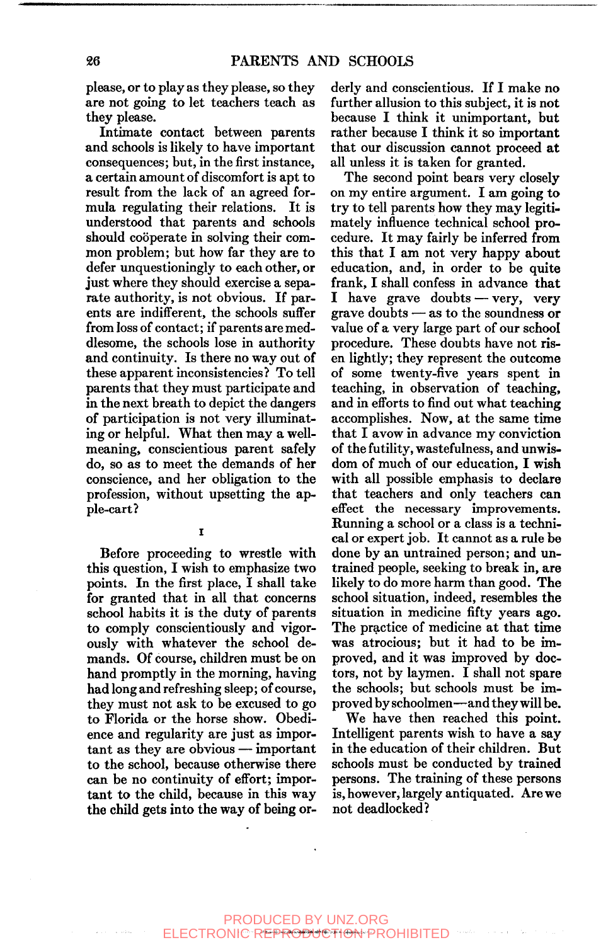please, or to play as they please, so they are not going to let teachers teach as they please.

Intimate contact between parents and schools is likely to have important consequences; but, in the first instance, a certain amount of discomfort is apt to result from the lack of an agreed formula regulating their relations. It is understood that parents and schools should cooperate in solving their common problem; but how far they are to defer unquestioningly to each other, or just where they should exercise a separate authority, is not obvious. If parents are indifferent, the schools suffer from loss of contact; if parents are meddlesome, the schools lose in authority and continuity. Is there no way out of these apparent inconsistencies? To tell parents that they must participate and in the next breath to depict the dangers of participation is not very illuminating or helpful. What then may a wellmeaning, conscientious parent safely do, so as to meet the demands of her conscience, and her obligation to the profession, without upsetting the apple-cart?

 $\mathbf{I}$ 

Before proceeding to wrestle with this question, I wish to emphasize two points. In the first place, I shall take for granted that in all that concerns school habits it is the duty of parents to comply conscientiously and vigorously with whatever the school demands. Of course, children must be on hand promptly in the morning, having had long and refreshing sleep; of course, they must not ask to be excused to go to Florida or the horse show. Obedience and regularity are just as important as they are obvious — important to the school, because otherwise there can be no continuity of effort; important to the child, because in this way the child gets into the way of being orderly and conscientious. If I make no further allusion to this subject, it is not because I think it unimportant, but rather because I think it so important that our discussion cannot proceed at all unless it is taken for granted.

The second point bears very closely on my entire argument. I am going to try to tell parents how they may legitimately influence technical school procedure. It may fairly be inferred from this that I am not very happy about education, and, in order to be quite frank, I shall confess in advance that I have grave doubts — very, very grave doubts — as to the soundness or value of a very large part of our school procedure. These doubts have not risen lightly; they represent the outcome of some twenty-five years spent in teaching, in observation of teaching, and in efforts to find out what teaching accomplishes. Now, at the same time that I avow in advance my conviction of the futility, wastefulness, and unwisdom of much of our education, I wish with all possible emphasis to declare that teachers and only teachers can effect the necessary improvements. Running a school or a class is a technical or expert job. It cannot as a rule be done by an untrained person; and untrained people, seeking to break in, are likely to do more harm than good. The school situation, indeed, resembles the situation in medicine fifty years ago. The practice of medicine at that time was atrocious; but it had to be improved, and it was improved by doctors, not by laymen. I shall not spare the schools; but schools must be improved by schoolmen—and they will be.

We have then reached this point. Intelligent parents wish to have a say in the education of their children. But schools must be conducted by trained persons. The training of these persons is, however, largely antiquated. Are we not deadlocked?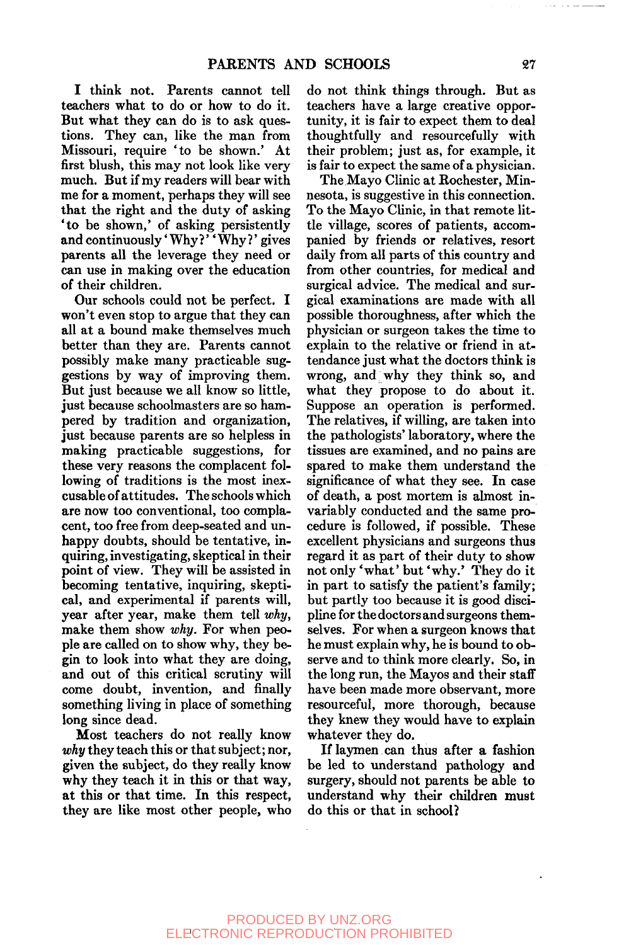I think not. Parents cannot tell teachers what to do or how to do it. But what they can do is to ask questions. They can, like the man from Missouri, require 'to be shown.' At first blush, this may not look like very much. But if my readers will bear with me for a moment, perhaps they will see that the right and the duty of asking \*to be shown,' of asking persistently and continuously' Why?' ' Why?' gives parents all the leverage they need or can use in making over the education of their children.

Our schools could not be perfect. I won't even stop to argue that they can all at a bound make themselves much better than they are. Parents cannot possibly make many practicable suggestions by way of improving them. But just because we all know so little, just because schoolmasters are so hampered by tradition and organization, just because parents are so helpless in making practicable suggestions, for these very reasons the complacent following of traditions is the most inexcusable of attitudes. The schools which are now too conventional, too complacent, too free from deep-seated and unhappy doubts, should be tentative, inquiring, investigating, skeptical in their point of view. They will be assisted in becoming tentative, inquiring, skeptical, and experimental if parents will, year after year, make them tell *why,*  make them show *why.* For when people are called on to show why, they begin to look into what they are doing, and out of this critical scrutiny will come doubt, invention, and finally something living in place of something long since dead.

Most teachers do not really know *why* they teach this or that subject; nor, given the subject, do they really know why they teach it in this or that way, at this or that time. In this respect, they are like most other people, who

do not think things through. But as teachers have a large creative opportunity, it is fair to expect them to deal thoughtfully and resourcefully with their problem; just as, for example, it is fair to expect the same of a physician.

The Mayo Clinic at Rochester, Minnesota, is suggestive in this connection. To the Mayo Clinic, in that remote little village, scores of patients, accompanied by friends or relatives, resort daily from all parts of this country and from other countries, for medical and surgical advice. The medical and surgical examinations are made with all possible thoroughness, after which the physician or surgeon takes the time to explain to the relative or friend in attendance just what the doctors think is wrong, and why they think so, and what they propose to do about it. Suppose an operation is performed. The relatives, if willing, are taken into the pathologists' laboratory, where the tissues are examined, and no pains are spared to make them understand the significance of what they see. In case of death, a post mortem is almost invariably conducted and the same procedure is followed, if possible. These excellent physicians and surgeons thus regard it as part of their duty to show not only 'what' but 'why.' They do it in part to satisfy the patient's family; but partly too because it is good discipline for the doctors and surgeons themselves. For when a surgeon knows that he must explain why, he is bound to observe and to think more clearly. So, in the long run, the Mayos and their staff have been made more observant, more resourceful, more thorough, because they knew they would have to explain whatever they do.

If laymen can thus after a fashion be led to understand pathology and surgery, should not parents be able to understand why their children must do this or that in school?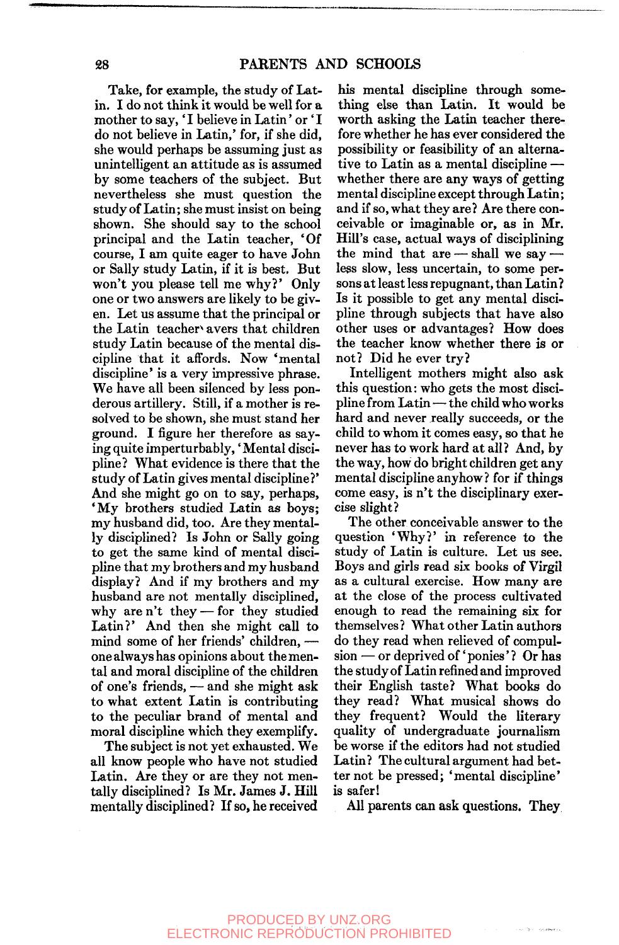Take, for example, the study of Latin. I do not think it would be well for a mother to say, 'I believe in Latin' or 'I do not believe in Latin,' for, if she did, she would perhaps be assuming just as unintelligent an attitude as is assumed by some teachers of the subject. But nevertheless she must question the study of Latin; she must insist on being shown. She should say to the school principal and the Latin teacher, 'Of course, I am quite eager to have John or Sally study Latin, if it is best. But won't you please tell me why?' Only one or two answers are likely to be given. Let us assume that the principal or the Latin teacher avers that children study Latin because of the mental discipline that it affords. Now 'mental discipline' is a very impressive phrase. We have all been silenced by less ponderous artillery. Still, if a mother is resolved to be shown, she must stand her ground. I figure her therefore as saying quite imperturbably, 'Mental discipline? What evidence is there that the study of Latin gives mental discipline?' And she might go on to say, perhaps, 'My brothers studied Latin as boys; my husband did, too. Are they mentally disciplined? Is John or Sally going to get the same kind of mental discipline that my brothers and my husband display? And if my brothers and my husband are not mentally disciplined, why are n't they — for they studied Latin?' And then she might call to mind some of her friends' children, one always has opinions about the mental and moral discipline of the children of one's friends, — and she might ask to what extent Latin is contributing to the peculiar brand of mental and moral discipline which they exemplify.

The subject is not yet exhausted. We all know people who have not studied Latin. Are they or are they not mentally disciplined? Is Mr. James J. Hill mentally disciplined? If so, he received

his mental discipline through something else than Latin. It would be worth asking the Latin teacher therefore whether he has ever considered the possibility or feasibility of an alternative to Latin as a mental discipline whether there are any ways of getting mental discipline except through Latin; and if so, what they are? Are there conceivable or imaginable or, as in Mr. Hill's case, actual ways of disciplining the mind that  $are$  — shall we say – less slow, less uncertain, to some persons at least less repugnant, than Latin? Is it possible to get any mental discipline through subjects that have also other uses or advantages? How does the teacher know whether there is or not? Did he ever try?

Intelligent mothers might also ask this question: who gets the most discipline from Latin — the child who works hard and never really succeeds, or the child to whom it comes easy, so that he never has to work hard at all? And, by the way, how do bright children get any mental discipline anyhow? for if things come easy, is n't the disciplinary exercise slight?

The other conceivable answer to the question 'Why?' in reference to the study of Latin is culture. Let us see. Boys and girls read six books of Virgil as a cultural exercise. How many are at the close of the process cultivated enough to read the remaining six for themselves? What other Latin authors do they read when relieved of compulsion — or deprived of 'ponies'? Or has the study of Latin refined and improved their English taste? What books do they read? What musical shows do they frequent? Would the literary quality of undergraduate journalism be worse if the editors had not studied Latin? The cultural argument had better not be pressed; 'mental discipline' is safer!

All parents can ask questions. They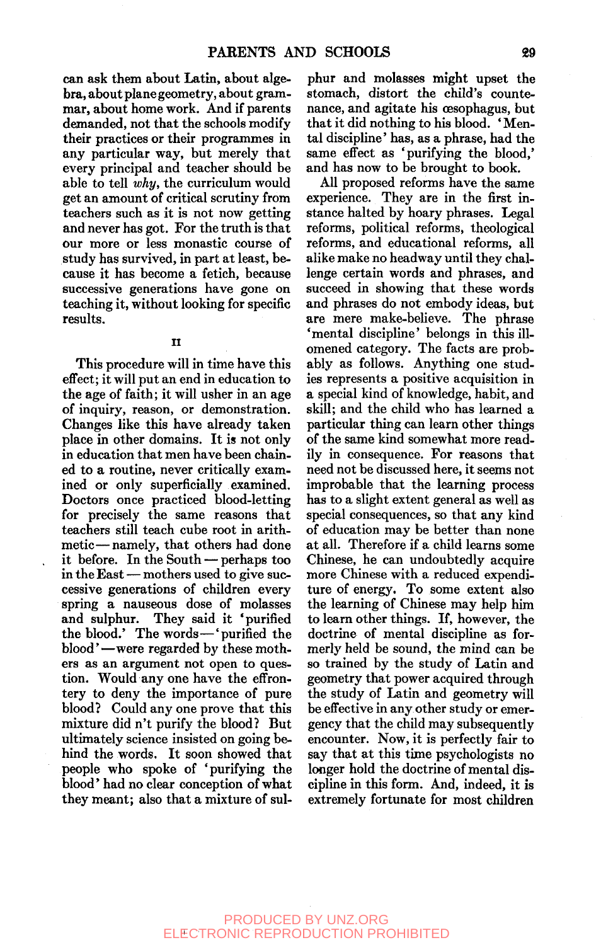can ask them about Latin, about algebra, about plane geometry, about grammar, about home work. And if parents demanded, not that the schools modify their practices or their programmes in any particular way, but merely that every principal and teacher should be able to tell *why,* the curriculum would get an amount of critical scrutiny from teachers such as it is not now getting and never has got. For the truth is that our more or less monastic course of study has survived, in part at least, because it has become a fetich, because successive generations have gone on teaching it, without looking for specific results.

**II** 

This procedure will in time have this effect; it will put an end in education to the age of faith; it will usher in an age of inquiry, reason, or demonstration. Changes like this have already taken place in other domains. It is not only in education that men have been chained to a routine, never critically examined or only superficially examined. Doctors once practiced blood-letting for precisely the same reasons that teachers still teach cube root in arithmetic— namely, that others had done it before. In the South — perhaps too in the East — mothers used to give successive generations of children every spring a nauseous dose of molasses and sulphur. They said it 'purified the blood.' The words—'purified the blood' —were regarded by these mothers as an argument not open to question. Would any one have the effrontery to deny the importance of pure blood? Could any one prove that this mixture did n't purify the blood? But ultimately science insisted on going behind the words. It soon showed that people who spoke of 'purifying the blood' had no clear conception of what they meant; also that a mixture of sul-

phur and molasses might upset the stomach, distort the child's countenance, and agitate his oesophagus, but that it did nothing to his blood. ' Mental discipline' has, as a phrase, had the same effect as 'purifying the blood,' and has now to be brought to book.

All proposed reforms have the same experience. They are in the first instance halted by hoary phrases. Legal reforms, political reforms, theological reforms, and educational reforms, all alike make no headway until they challenge certain words and phrases, and succeed in showing that these words and phrases do not embody ideas, but are mere make-believe. The phrase 'mental discipline' belongs in this illomened category. The facts are probably as follows. Anything one studies represents a positive acquisition in a special kind of knowledge, habit, and skill; and the child who has learned a particular thing can learn other things of the same kind somewhat more readily in consequence. For reasons that need not be discussed here, it seems not improbable that the learning process has to a slight extent general as well as special consequences, so that any kind of education may be better than none at all. Therefore if a child learns some Chinese, he can undoubtedly acquire more Chinese with a reduced expenditure of energy. To some extent also the learning of Chinese may help him to learn other things. If, however, the doctrine of mental discipline as formerly held be sound, the mind can be so trained by the study of Latin and geometry that power acquired through the study of Latin and geometry will be effective in any other study or emergency that the child may subsequently encounter. Now, it is perfectly fair to say that at this time psychologists no longer hold the doctrine of mental discipline in this form. And, indeed, it is extremely fortunate for most children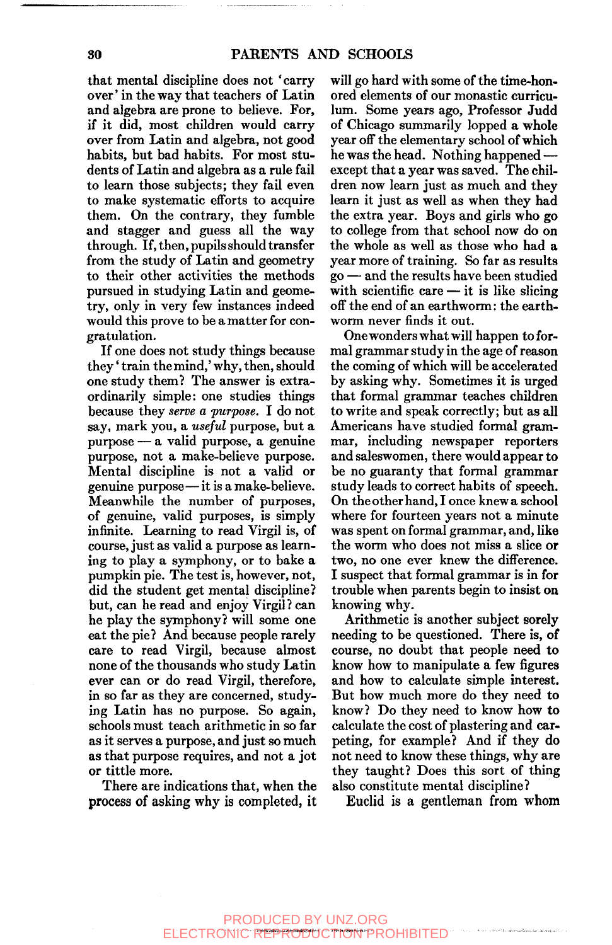that mental discipline does not 'carry over' in the way that teachers of Latin and algebra are prone to believe. For, if it did, most children would carry over from Latin and algebra, not good habits, but bad habits. For most students of Latin and algebra as a rule fail to learn those subjects; they fail even to make systematic efforts to acquire them. On the contrary, they fumble and stagger and guess all the way through. If, then, pupils should transfer from the study of Latin and geometry to their other activities the methods pursued in studying Latin and geometry, only in very few instances indeed would this prove to be a matter for congratulation.

If one does not study things because they' train the mind,' why, then, should one study them? The answer is extraordinarily simple: one studies things because they *serve a purpose*. I do not say, mark you, a *useful* purpose, but a purpose — a valid purpose, a genuine purpose, not a make-believe purpose. Mental discipline is not a valid or genuine purpose—it is a make-believe. Meanwhile the number of purposes, of genuine, valid purposes, is simply infinite. Learning to read Virgil is, of course, just as valid a purpose as learning to play a symphony, or to bake a pumpkin pie. The test is, however, not, did the student get mental discipline? but, can he read and enjoy Virgil? can he play the symphony? will some one eat the pie? And because people rarely care to read Virgil, because almost none of the thousands who study Latin ever can or do read Virgil, therefore, in so far as they are concerned, studying Latin has no purpose. So again, schools must teach arithmetic in so far as it serves a purpose, and just so much as that purpose requires, and not a jot or tittle more.

There are indications that, when the process of asking why is completed, it will go hard with some of the time-honored elements of our monastic curriculum. Some years ago. Professor Judd of Chicago summarily lopped a whole year off the elementary school of which he was the head. Nothing happened except that a year was saved. The children now learn just as much and they learn it just as well as when they had the extra year. Boys and girls who go to college from that school now do on the whole as well as those who had a year more of training. So far as results go — and the results have been studied with scientific care  $-$  it is like slicing off the end of an earthworm: the earthworm never finds it out.

Onewonders what will happen to formal grammar study in the age of reason the coming of which will be accelerated by asking why. Sometimes it is urged that formal grammar teaches children to write and speak correctly; but as all Americans have studied formal grammar, including newspaper reporters and saleswomen, there would appear to be no guaranty that formal grammar study leads to correct habits of speech. On the other hand, I once knew a school where for fourteen years not a minute was spent on formal grammar, and, like the worm who does not miss a slice or two, no one ever knew the difference. I suspect that formal grammar is in for trouble when parents begin to insist on knowing why.

Arithmetic is another subject sorely needing to be questioned. There is, of course, no doubt that people need to know how to manipulate a few figures and how to calculate simple interest. But how much more do they need to know? Do they need to know how to calculate the cost of plastering and carpeting, for example? And if they do not need to know these things, why are they taught? Does this sort of thing also constitute mental discipline?

Euclid is a gentleman from whom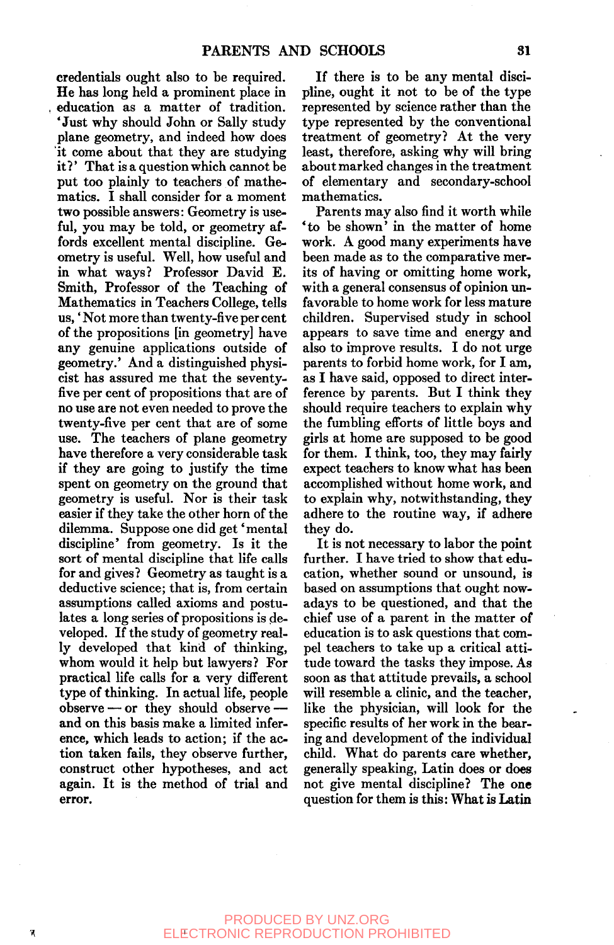credentials ought also to be required. He has long held a prominent place in education as a matter of tradition. 'Just why should John or Sally study plane geometry, and indeed how does it come about that they are studying it?' That is a question which cannot be put too plainly to teachers of mathematics. I shall consider for a moment two possible answers: Geometry is useful, you may be told, or geometry affords excellent mental discipline. Geometry is useful. Well, how useful and in what ways? Professor David E. Smith, Professor of the Teaching of Mathematics in Teachers College, tells us,' Not more than twenty-five per cent of the propositions [in geometry] have any genuine applications outside of geometry.' And a distinguished physicist has assured me that the seventyfive per cent of propositions that are of no use are not even needed to prove the twenty-five per cent that are of some use. The teachers of plane geometry have therefore a very considerable task if they are going to justify the time spent on geometry on the ground that geometry is useful. Nor is their task easier if they take the other horn of the dilemma. Suppose one did get'mental discipline' from geometry. Is it the sort of mental discipline that life calls for and gives? Geometry as taught is a deductive science; that is, from certain assumptions called axioms and postulates a long series of propositions is developed. If the study of geometry really developed that kind of thinking, whom would it help but lawyers? For practical life calls for a very different type of thinking. In actual life, people observe — or they should observe and on this basis make a limited inference, which leads to action; if the action taken fails, they observe further, construct other hypotheses, and act again. It is the method of trial and error.

If there is to be any mental discipline, ought it not to be of the type represented by science rather than the type represented by the conventional treatment of geometry? At the very least, therefore, asking why will bring about marked changes in the treatment of elementary and secondary-school mathematics.

Parents may also find it worth while 'to be shown' in the matter of home work. A good many experiments have been made as to the comparative merits of having or omitting home work, with a general consensus of opinion unfavorable to home work for less mature children. Supervised study in school appears to save time and energy and also to improve results. I do not urge parents to forbid home work, for I am, as I have said, opposed to direct interference by parents. But I think they should require teachers to explain why the fumbling efforts of little boys and girls at home are supposed to be good for them. I think, too, they may fairly expect teachers to know what has been accomplished without home work, and to explain why, notwithstanding, they adhere to the routine way, if adhere they do.

It is not necessary to labor the point further. I have tried to show that education, whether sound or unsound, is based on assumptions that ought nowadays to be questioned, and that the chief use of a parent in the matter of education is to ask questions that compel teachers to take up a critical attitude toward the tasks they impose. As soon as that attitude prevails, a school will resemble a clinic, and the teacher, like the physician, will look for the specific results of her work in the bearing and development of the individual child. What do parents care whether, generally speaking, Latin does or does not give mental discipline? The one question for them is this: What is Latin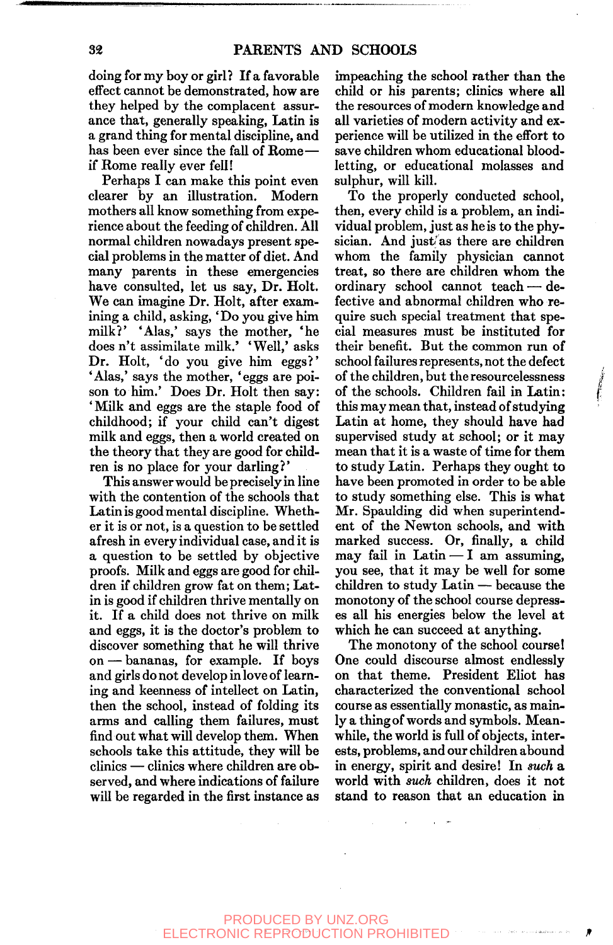doing for my boy or girl? If a favorable effect cannot be demonstrated, how are they helped by the complacent assurance that, generally speaking, Latin is a grand thing for mental discipline, and has been ever since the fall of Rome if Rome really ever fell!

Perhaps I can make this point even clearer by an illustration. Modern mothers all know something from experience about the feeding of children. All normal children nowadays present special problems in the matter of diet. And many parents in these emergencies have consulted, let us say. Dr. Holt. We can imagine Dr. Holt, after examining a child, asking, 'Do you give him milk?' 'Alas,' says the mother, 'he does n't assimilate milk.' ' Well,' asks Dr. Holt, 'do you give him eggs?' 'Alas,' says the mother, 'eggs are poison to him.' Does Dr. Holt then say: 'Milk and eggs are the staple food of childhood; if your child can't digest milk and eggs, then a world created on the theory that they are good for children is no place for your darling?'

This answer would be precisely in line with the contention of the schools that Latin is good mental discipline. Whether it is or not, is a question to be settled afresh in every individual case, and it is a question to be settled by objective proofs. Milk and eggs are good for children if children grow fat on them; Latin is good if children thrive mentally on it. If a child does not thrive on milk and eggs, it is the doctor's problem to discover something that he will thrive on — bananas, for example. If boys and girls do not develop in love of learning and keenness of intellect on Latin, then the school, instead of folding its arms and calling them failures, must find out what will develop them. When schools take this attitude, they will be clinics — clinics where children are observed, and where indications of failure will be regarded in the first instance as impeaching the school rather than the child or his parents; clinics where all the resources of modern knowledge and all varieties of modern activity and experience will be utilized in the effort to save children whom educational bloodletting, or educational molasses and sulphur, will kill.

To the properly conducted school, then, every child is a problem, an individual problem, just as he is to the physician. And just as there are children whom the family physician cannot treat, so there are children whom the ordinary school cannot teach — defective and abnormal children who require such special treatment that special measures must be instituted for their benefit. But the common run of school failures represents, not the defect of the children, but theresourcelessness of the schools. Children fail in Latin: this may mean that, instead of studying Latin at home, they should have had supervised study at school; or it may mean that it is a waste of time for them to study Latin. Perhaps they ought to have been promoted in order to be able to study something else. This is what Mr. Spaulding did when superintendent of the Newton schools, and with marked success. Or, finally, a child may fail in Latin  $-1$  am assuming, you see, that it may be well for some children to study Latin — because the monotony of the school course depresses all his energies below the level at which he can succeed at anything.

The monotony of the school course! One could discourse almost endlessly on that theme. President Eliot has characterized the conventional school course as essentially monastic, as mainly a thing of words and symbols. Meanwhile, the world is full of objects, interests, problems, and our children abound in energy, spirit and desire! In *such* a world with *such* children, does it not stand to reason that an education in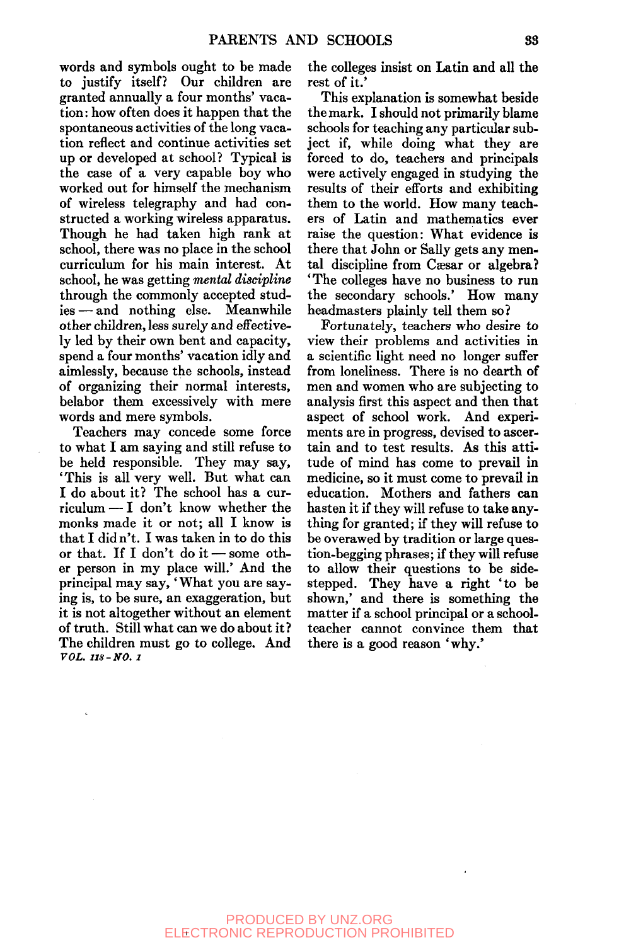words and symbols ought to be made to justify itself? Our children are granted annually a four months' vacation: how often does it happen that the spontaneous activities of the long vacation reflect and continue activities set up or developed at school? Typical is the case of a very capable boy who worked out for himself the mechanism of wireless telegraphy and had constructed a working wireless apparatus. Though he had taken high rank at school, there was no place in the school curriculum for his main interest. At school, he was getting *mental discipline*  through the commonly accepted studies — and nothing else. Meanwhile other children, less surely and effectively led by their own bent and capacity, spend a four months' vacation idly and aimlessly, because the schools, instead of organizing their normal interests, belabor them excessively with mere words and mere symbols.

Teachers may concede some force to what I am saying and still refuse to be held responsible. They may say, 'This is all very well. But what can I do about it? The school has a curriculum — I don't know whether the monks made it or not; all I know is that I did n't. I was taken in to do this or that. If I don't do it — some other person in my place will.' And the principal may say, 'What you are saying is, to be sure, an exaggeration, but it is not altogether without an element of truth. Still what can we do about it ? The children must go to college. And *VOL. 118-NO. 1* 

the colleges insist on Latin and all the rest of it.'

This explanation is somewhat beside the mark. I should not primarily blame schools for teaching any particular subject if, while doing what they are forced to do, teachers and principals were actively engaged in studying the results of their efforts and exhibiting them to the world. How many teachers of Latin and mathematics ever raise the question: What evidence is there that John or Sally gets any mental discipline from Caesar or algebra? 'The colleges have no business to run the secondary schools.' How many headmasters plainly tell them so?

Fortunately, teachers who desire to view their problems and activities in a scientific light need no longer suffer from loneliness. There is no dearth of men and women who are subjecting to analysis first this aspect and then that aspect of school work. And experiments are in progress, devised to ascertain and to test results. As this attitude of mind has come to prevail in medicine, so it must come to prevail in education. Mothers and fathers can hasten it if they will refuse to take anything for granted; if they will refuse to be overawed by tradition or large question-begging phrases; if they will refuse to allow their questions to be sidestepped. They have a right 'to be shown,' and there is something the matter if a school principal or a schoolteacher cannot convince them that there is a good reason 'why.'